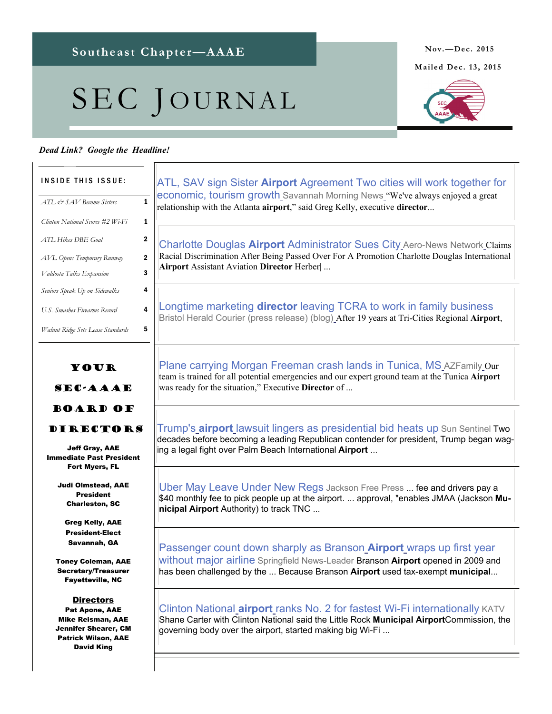# SEC JOURNAL

### *Dead Link? Google the Headline!*

#### Your SEC-AAAE Board of DIRECTORS Jeff Gray, AAE Immediate Past President Fort Myers, FL Judi Olmstead, AAE President Charleston, SC Greg Kelly, AAE President-Elect Savannah, GA Toney Coleman, AAE Secretary/Treasurer Fayetteville, NC **Directors** Pat Apone, AAE Mike Reisman, AAE Jennifer Shearer, CM Patrick Wilson, AAE David King INSIDE THIS ISSUE: *ATL & SAV Become Sisters* 1 *Clinton National Scores #2 Wi-Fi* **1** *ATL Hikes DBE Goal* 2 *AVL Opens Temporary Runway* 2 *Valdosta Talks Expansion* 3 *Seniors Speak Up on Sidewalks* 4 *Walnut Ridge Sets Lease Standards* 5 *U.S. Smashes Firearms Record* 4 [Plane carrying Morgan Freeman crash lands in Tunica, MS](https://www.google.com/url?rct=j&sa=t&url=http://www.azfamily.com/story/30677301/plane-carrying-morgan-freeman-crash-lands-in-tunica&ct=ga&cd=CAEYACoUMTAwNTU1ODIzNjAzNjIwMTk5NDQyHDMyN2E5ZGQ3NmJmOTQzZTU6Y29tOmVuOlVTOlI&usg=AFQjCNER-xxKeilhHDgjXkXQmovArtUDIg) AZFamily Our team is trained for all potential emergencies and our expert ground team at the Tunica **Airport** was ready for the situation," Executive **Director** of ... Longtime marketing **director** [leaving TCRA to work in family business](https://www.google.com/url?rct=j&sa=t&url=http://www.heraldcourier.com/news/local/longtime-marketing-director-leaving-tcra-to-work-in-family-business/article_1365f6f9-e595-57ab-ac90-aaa1bc739efb.html&ct=ga&cd=CAEYACoTOTgxMDg2NzQxNDE3NzU5NzU1NDIcMzI3YTlkZDc2YmY5NDNlNTpjb206ZW46VVM6Ug&usg=AFQjCNGsvwHraRCP_pfyRB1igA4KphPKHw) Bristol Herald Courier (press release) (blog) After 19 years at Tri-Cities Regional **Airport**, Charlotte Douglas **Airport** [Administrator Sues City](https://www.google.com/url?rct=j&sa=t&url=http://www.aero-news.net/GetMoreFromANN.cfm%3Fdo%3Dmain.textpost%26id%3Db3c0eab5-fd89-4656-a199-e12c1d994dc2&ct=ga&cd=CAEYAioSNDEzNDYzNTU4NzQ4OTA0NjU0MhwzMjdhOWRkNzZiZjk0M2U1OmNvbTplbjpVUzpS&usg=AFQjCNFx0H1hwmrIZTd4XwrDKt8-XiV2sg) Aero-News Network Claims Racial Discrimination After Being Passed Over For A Promotion Charlotte Douglas International **Airport** Assistant Aviation **Director** Herber| ... ATL, SAV sign Sister **Airport** [Agreement Two cities will work together for](https://www.google.com/url?rct=j&sa=t&url=http://savannahnow.com/exchange/2015-12-03/atl-sav-sign-sister-airport-agreement-two-cities-will-work-together-economic&ct=ga&cd=CAEYACoUMTMwOTYzOTAyNTA4OTcwMDc2ODIyHDMyN2E5ZGQ3NmJmOTQzZTU6Y29tOmVuOlVTOlI&usg=AFQjCNFIAQ8Rm3P5J7BaoZO1pd-zfZsOqQ)  [economic, tourism growth](https://www.google.com/url?rct=j&sa=t&url=http://savannahnow.com/exchange/2015-12-03/atl-sav-sign-sister-airport-agreement-two-cities-will-work-together-economic&ct=ga&cd=CAEYACoUMTMwOTYzOTAyNTA4OTcwMDc2ODIyHDMyN2E5ZGQ3NmJmOTQzZTU6Y29tOmVuOlVTOlI&usg=AFQjCNFIAQ8Rm3P5J7BaoZO1pd-zfZsOqQ) Savannah Morning News "We've always enjoyed a great relationship with the Atlanta **airport**," said Greg Kelly, executive **director**... Trump's **airport** [lawsuit lingers as presidential bid heats up](https://www.google.com/url?rct=j&sa=t&url=http://www.sun-sentinel.com/local/palm-beach/fl-trump-airport-fight-palm-20151211-story.html&ct=ga&cd=CAEYACoTNzczODgzNDg5NTE0MzI1NDk2MTIcYTAyNzY4YjVkZWQ2MDRkZDpjb206ZW46VVM6Ug&usg=AFQjCNF0AmNlRrU505Jaa70P6aLyfH5-gQ) Sun Sentinel Two decades before becoming a leading Republican contender for president, Trump began waging a legal fight over Palm Beach International **Airport** ... [Uber May Leave Under New Regs](https://www.google.com/url?rct=j&sa=t&url=http://www.jacksonfreepress.com/news/2015/dec/09/uber-may-leave-under-new-regs/&ct=ga&cd=CAEYACoSNDQ5NDIxNzU1MjgyNzIxMTk1MhwxMmMzMDk3ZWQ3NTQ5ZjdlOmNvbTplbjpVUzpS&usg=AFQjCNHOL_7bZQmtezChOQtFVZu-zyBOfQ) Jackson Free Press ... fee and drivers pay a \$40 monthly fee to pick people up at the airport. ... approval, "enables JMAA (Jackson **Municipal Airport** Authority) to track TNC ... [Passenger count down sharply as Branson](https://www.google.com/url?rct=j&sa=t&url=http://www.news-leader.com/story/news/business/2015/12/09/passenger-count-down-sharply-branson-airport-wraps-up-first-year-without-major-airline/76735144/&ct=ga&cd=CAEYACoSNTA5ODkzNDIxNjA1ODE1MTEzMhwxMmMzMDk3ZWQ3NTQ5ZjdlOmNvbTplbjpVUzpS&usg=AFQjCNHSKpF1dIc4wRQjWBAbOASQGvrDLw) **Airport** wraps up first year [without major airline](https://www.google.com/url?rct=j&sa=t&url=http://www.news-leader.com/story/news/business/2015/12/09/passenger-count-down-sharply-branson-airport-wraps-up-first-year-without-major-airline/76735144/&ct=ga&cd=CAEYACoSNTA5ODkzNDIxNjA1ODE1MTEzMhwxMmMzMDk3ZWQ3NTQ5ZjdlOmNvbTplbjpVUzpS&usg=AFQjCNHSKpF1dIc4wRQjWBAbOASQGvrDLw) Springfield News-Leader Branson **Airport** opened in 2009 and has been challenged by the ... Because Branson **Airport** used tax-exempt **municipal**... Clinton National **airport** [ranks No. 2 for fastest Wi-Fi internationally](https://www.google.com/url?rct=j&sa=t&url=http://katv.com/news/local/clinton-national-airport-ranks-no-2-for-fastest-wi-fi-internationally&ct=ga&cd=CAEYACoSNjg0MjMwMzg5NzE5NjQxNDUzMhwxMmMzMDk3ZWQ3NTQ5ZjdlOmNvbTplbjpVUzpS&usg=AFQjCNHb3YCV1PA3A9NGP4BKQAcFyk_OXg) KATV Shane Carter with Clinton National said the Little Rock **Municipal Airport**Commission, the governing body over the airport, started making big Wi-Fi ...

**Mailed Dec. 13, 2015** 

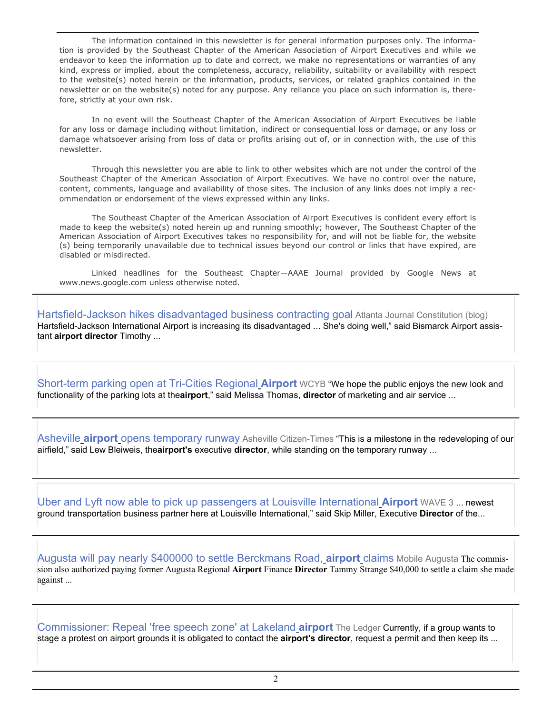The information contained in this newsletter is for general information purposes only. The information is provided by the Southeast Chapter of the American Association of Airport Executives and while we endeavor to keep the information up to date and correct, we make no representations or warranties of any kind, express or implied, about the completeness, accuracy, reliability, suitability or availability with respect to the website(s) noted herein or the information, products, services, or related graphics contained in the newsletter or on the website(s) noted for any purpose. Any reliance you place on such information is, therefore, strictly at your own risk.

 In no event will the Southeast Chapter of the American Association of Airport Executives be liable for any loss or damage including without limitation, indirect or consequential loss or damage, or any loss or damage whatsoever arising from loss of data or profits arising out of, or in connection with, the use of this newsletter.

 Through this newsletter you are able to link to other websites which are not under the control of the Southeast Chapter of the American Association of Airport Executives. We have no control over the nature, content, comments, language and availability of those sites. The inclusion of any links does not imply a recommendation or endorsement of the views expressed within any links.

 The Southeast Chapter of the American Association of Airport Executives is confident every effort is made to keep the website(s) noted herein up and running smoothly; however, The Southeast Chapter of the American Association of Airport Executives takes no responsibility for, and will not be liable for, the website (s) being temporarily unavailable due to technical issues beyond our control or links that have expired, are disabled or misdirected.

 Linked headlines for the Southeast Chapter—AAAE Journal provided by Google News at www.news.google.com unless otherwise noted.

[Hartsfield-Jackson hikes disadvantaged business contracting goal](https://www.google.com/url?rct=j&sa=t&url=http://airport.blog.ajc.com/2015/12/08/hartsfield-jackson-hikes-disadvantaged-business-contracting-goal/&ct=ga&cd=CAEYACoSNzM1NTAxMTgxNDk0NzQ2NzMwMhwzMjdhOWRkNzZiZjk0M2U1OmNvbTplbjpVUzpS&usg=AFQjCNEKURaE_TJ6cmnsGNvimyPIdM4hlw) Atlanta Journal Constitution (blog) Hartsfield-Jackson International Airport is increasing its disadvantaged ... She's doing well," said Bismarck Airport assistant **airport director** Timothy ...

[Short-term parking open at Tri-Cities Regional](https://www.google.com/url?rct=j&sa=t&url=http://www.wcyb.com/news/Short-term-parking-open-at-Tri-Cities-Regional-Airport/36859844&ct=ga&cd=CAEYACoTNTM3MzM2MDg4NjU2MTU1Mzg3MDIcMzI3YTlkZDc2YmY5NDNlNTpjb206ZW46VVM6Ug&usg=AFQjCNEK1ep3Dac5d_xx6YmbLNPLHE-I0g) **Airport** WCYB "We hope the public enjoys the new look and functionality of the parking lots at the**airport**," said Melissa Thomas, **director** of marketing and air service ...

Asheville **airport** [opens temporary runway](https://www.google.com/url?rct=j&sa=t&url=http://www.citizen-times.com/story/news/2015/12/09/asheville-asheville-regional-airport-faa-nc-dot/76971978/&ct=ga&cd=CAEYACoTMjQyNDkzNTM5MzY2OTQyNjYwNDIcMzI3YTlkZDc2YmY5NDNlNTpjb206ZW46VVM6Ug&usg=AFQjCNGfbFU6JpPNUQEi5HRel_DUp8BbhA) Asheville Citizen-Times "This is a milestone in the redeveloping of our airfield," said Lew Bleiweis, the**airport's** executive **director**, while standing on the temporary runway ...

[Uber and Lyft now able to pick up passengers at Louisville International](https://www.google.com/url?rct=j&sa=t&url=http://www.wave3.com/story/30707340/uber-and-lyft-now-able-to-pick-up-passengers-at-louisville-international-airport&ct=ga&cd=CAEYASoTNzE2NDAwOTI2MTU3NDI5OTg4NTIcMzI3YTlkZDc2YmY5NDNlNTpjb206ZW46VVM6Ug&usg=AFQjCNHDj3o1xhRT8kTWHynmfxKt9Cxgcg) **Airport** WAVE 3 ... newest ground transportation business partner here at Louisville International," said Skip Miller, Executive **Director** of the...

[Augusta will pay nearly \\$400000 to settle Berckmans Road,](https://www.google.com/url?rct=j&sa=t&url=http://m.chronicle.augusta.com/news/government/2015-12-10/augusta-will-pay-nearly-400000-settle-berckmans-road-airport-claims&ct=ga&cd=CAEYACoTMzI3ODQ3NTU4Mjc1MTIwMjU1MzIcMzI3YTlkZDc2YmY5NDNlNTpjb206ZW46VVM6Ug&usg=AFQjCNHiM4jtpBuRzIYXEKFgej0NWKeD7Q) **airport** claims Mobile Augusta The commission also authorized paying former Augusta Regional **Airport** Finance **Director** Tammy Strange \$40,000 to settle a claim she made against ...

[Commissioner: Repeal 'free speech zone' at Lakeland](https://www.google.com/url?rct=j&sa=t&url=http://www.theledger.com/article/20151211/news/151219862&ct=ga&cd=CAEYACoUMTE1NTY1ODc2NzkwMzMzMTYxNzcyHDMyN2E5ZGQ3NmJmOTQzZTU6Y29tOmVuOlVTOlI&usg=AFQjCNF9NtEiTZMxChyfnHQj7F2iFPGejQ) **airport** The Ledger Currently, if a group wants to stage a protest on airport grounds it is obligated to contact the **airport's director**, request a permit and then keep its ...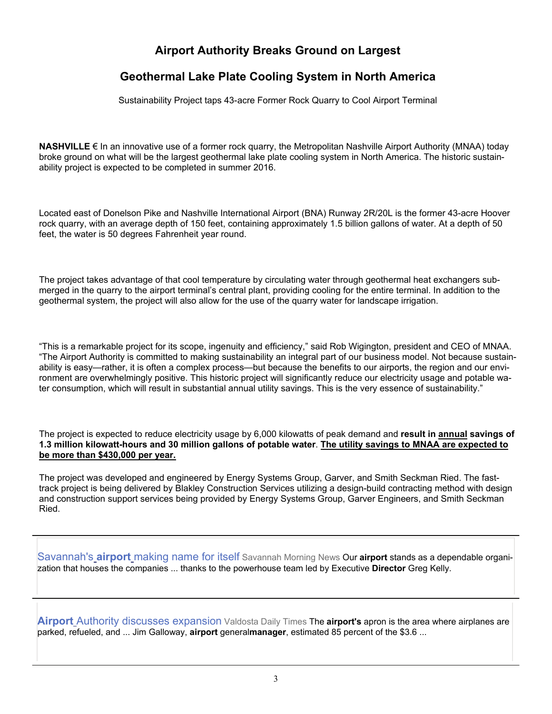## **Airport Authority Breaks Ground on Largest**

## **Geothermal Lake Plate Cooling System in North America**

Sustainability Project taps 43-acre Former Rock Quarry to Cool Airport Terminal

**NASHVILLE** € In an innovative use of a former rock quarry, the Metropolitan Nashville Airport Authority (MNAA) today broke ground on what will be the largest geothermal lake plate cooling system in North America. The historic sustainability project is expected to be completed in summer 2016.

Located east of Donelson Pike and Nashville International Airport (BNA) Runway 2R/20L is the former 43-acre Hoover rock quarry, with an average depth of 150 feet, containing approximately 1.5 billion gallons of water. At a depth of 50 feet, the water is 50 degrees Fahrenheit year round.

The project takes advantage of that cool temperature by circulating water through geothermal heat exchangers submerged in the quarry to the airport terminal's central plant, providing cooling for the entire terminal. In addition to the geothermal system, the project will also allow for the use of the quarry water for landscape irrigation.

"This is a remarkable project for its scope, ingenuity and efficiency," said Rob Wigington, president and CEO of MNAA. "The Airport Authority is committed to making sustainability an integral part of our business model. Not because sustainability is easy—rather, it is often a complex process—but because the benefits to our airports, the region and our environment are overwhelmingly positive. This historic project will significantly reduce our electricity usage and potable water consumption, which will result in substantial annual utility savings. This is the very essence of sustainability."

The project is expected to reduce electricity usage by 6,000 kilowatts of peak demand and **result in annual savings of 1.3 million kilowatt-hours and 30 million gallons of potable water**. **The utility savings to MNAA are expected to be more than \$430,000 per year.**

The project was developed and engineered by Energy Systems Group, Garver, and Smith Seckman Ried. The fasttrack project is being delivered by Blakley Construction Services utilizing a design-build contracting method with design and construction support services being provided by Energy Systems Group, Garver Engineers, and Smith Seckman Ried.

Savannah's **airport** [making name for itself](https://www.google.com/url?rct=j&sa=t&url=http://savannahnow.com/exchange/2015-12-12/savannahs-airport-making-name-itself&ct=ga&cd=CAEYASoUMTY1NTYxMjM1NzgxNzk3NzMzMTYyHDMyN2E5ZGQ3NmJmOTQzZTU6Y29tOmVuOlVTOlI&usg=AFQjCNEJ63KjgydH3Nyn0eYI2SgBJM3NZA) Savannah Morning News Our **airport** stands as a dependable organization that houses the companies ... thanks to the powerhouse team led by Executive **Director** Greg Kelly.

**Airport** [Authority discusses expansion](https://www.google.com/url?rct=j&sa=t&url=http://www.valdostadailytimes.com/news/local_news/airport-authority-discusses-expansion/article_125eda2e-f61d-5d83-950b-29514d94700a.html&ct=ga&cd=CAEYACoUMTQ4Mjg3MTQxNDQxODk3NDc0OTgyGjhlY2I2NzFkZWZlZDY4MWU6Y29tOmVuOlVT&usg=AFQjCNGZIciwM8tzR-Nd-8CL5IhO7w5Tlg) Valdosta Daily Times The **airport's** apron is the area where airplanes are parked, refueled, and ... Jim Galloway, **airport** general**manager**, estimated 85 percent of the \$3.6 ...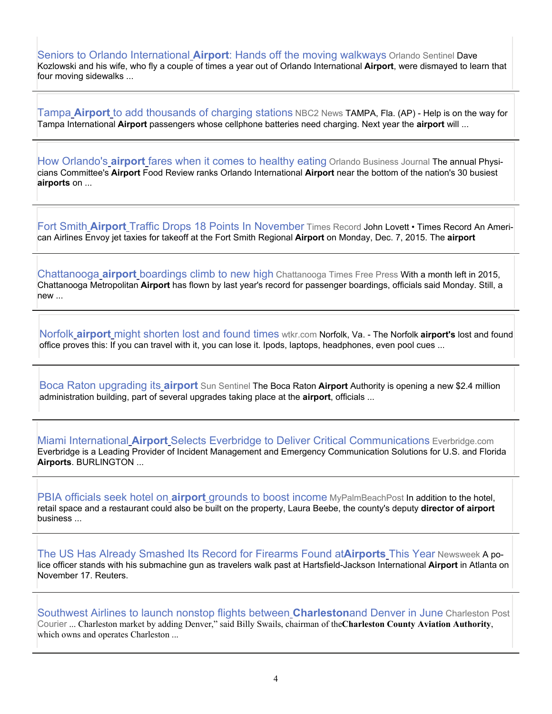Seniors to Orlando International **Airport**[: Hands off the moving walkways](https://www.google.com/url?rct=j&sa=t&url=http://www.orlandosentinel.com/business/os-airport-sidewalk-follow-20151205-story.html&ct=ga&cd=CAEYACoRMjc1ODU3MDUyMDI2NTk1NTUyHGEwMjc2OGI1ZGVkNjA0ZGQ6Y29tOmVuOlVTOlI&usg=AFQjCNHX6mp1xSi5sdNPbtuI4srPzZQK9A) Orlando Sentinel Dave Kozlowski and his wife, who fly a couple of times a year out of Orlando International **Airport**, were dismayed to learn that four moving sidewalks ...

Tampa **Airport** [to add thousands of charging stations](https://www.google.com/url?rct=j&sa=t&url=http://www.nbc-2.com/story/30681788/tampa-airport-to-add-thousands-of-charging-stations&ct=ga&cd=CAEYASoRMjc1ODU3MDUyMDI2NTk1NTUyHGEwMjc2OGI1ZGVkNjA0ZGQ6Y29tOmVuOlVTOlI&usg=AFQjCNFNuzC49QbwsVc969KxLPmJ7cj5MQ) NBC2 News TAMPA, Fla. (AP) - Help is on the way for Tampa International **Airport** passengers whose cellphone batteries need charging. Next year the **airport** will ...

How Orlando's **airport** [fares when it comes to healthy eating](https://www.google.com/url?rct=j&sa=t&url=http://www.bizjournals.com/orlando/morning_call/2015/12/how-orlandos-airport-fares-when-it-comes-to.html&ct=ga&cd=CAEYAioRMjc1ODU3MDUyMDI2NTk1NTUyHGEwMjc2OGI1ZGVkNjA0ZGQ6Y29tOmVuOlVTOlI&usg=AFQjCNEHD7LJ2_hgk-88f6bUm0vyZyie9g) Orlando Business Journal The annual Physicians Committee's **Airport** Food Review ranks Orlando International **Airport** near the bottom of the nation's 30 busiest **airports** on ...

Fort Smith **Airport** [Traffic Drops 18 Points In November](https://www.google.com/url?rct=j&sa=t&url=http://swtimes.com/business/fort-smith-airport-traffic-drops-18-points-november&ct=ga&cd=CAEYASoTNTA5ODYyMDY1NzMxNDkyMzU4MjIcYTAyNzY4YjVkZWQ2MDRkZDpjb206ZW46VVM6Ug&usg=AFQjCNGuQ8WgJaszoU9KA5eS4hhCkMyL8w) Times Record John Lovett • Times Record An American Airlines Envoy jet taxies for takeoff at the Fort Smith Regional **Airport** on Monday, Dec. 7, 2015. The **airport**

Chattanooga **airport** [boardings climb to new high](https://www.google.com/url?rct=j&sa=t&url=http://www.timesfreepress.com/news/business/aroundregion/story/2015/dec/08/airport-boardings-set-new-high-month-left/339408/&ct=ga&cd=CAEYACoTNDk3MDE4ODQzODM5MTk3MTkxNzIcYTAyNzY4YjVkZWQ2MDRkZDpjb206ZW46VVM6Ug&usg=AFQjCNFyb1hHm2f6HwToLsD8x-HtZwUHgg) Chattanooga Times Free Press With a month left in 2015, Chattanooga Metropolitan **Airport** has flown by last year's record for passenger boardings, officials said Monday. Still, a new ...

Norfolk **airport** [might shorten lost and found times](https://www.google.com/url?rct=j&sa=t&url=http://wtkr.com/2015/12/07/norfolk-airport-might-shorten-lost-and-found-times/&ct=ga&cd=CAEYASoTNDk3MDE4ODQzODM5MTk3MTkxNzIcYTAyNzY4YjVkZWQ2MDRkZDpjb206ZW46VVM6Ug&usg=AFQjCNG693mryP5LXXNeMeMEgm1rgrY36Q) wtkr.com Norfolk, Va. - The Norfolk **airport's** lost and found office proves this: If you can travel with it, you can lose it. Ipods, laptops, headphones, even pool cues ...

[Boca Raton upgrading its](https://www.google.com/url?rct=j&sa=t&url=http://www.sun-sentinel.com/business/tourism/fl-boca-airport-authority-new-digs-20151209-story.html&ct=ga&cd=CAEYACoTNTUzMzAzMzA0OTY3MTQxNjE5NjIcYTAyNzY4YjVkZWQ2MDRkZDpjb206ZW46VVM6Ug&usg=AFQjCNF_MSI-6ftiUN9uvcdAaAfwfw5mpw) **airport** Sun Sentinel The Boca Raton **Airport** Authority is opening a new \$2.4 million administration building, part of several upgrades taking place at the **airport**, officials ...

Miami International **Airport** [Selects Everbridge to Deliver Critical Communications](https://www.google.com/url?rct=j&sa=t&url=http://www.everbridge.com/miami-international-airport-selects-everbridge-to-deliver-critical-communications/&ct=ga&cd=CAEYACoUMTgzNTIxMzY4MTcwNjMxNTkyMTYyHGEwMjc2OGI1ZGVkNjA0ZGQ6Y29tOmVuOlVTOlI&usg=AFQjCNGpr9Z-vd4yTch2ll4IYVzMNHGsBg) Everbridge.com Everbridge is a Leading Provider of Incident Management and Emergency Communication Solutions for U.S. and Florida **Airports**. BURLINGTON ...

[PBIA officials seek hotel on](https://www.google.com/url?rct=j&sa=t&url=http://www.mypalmbeachpost.com/news/business/pbia-officials-seek-hotel-on-airport-grounds-to-bo/npgGN/&ct=ga&cd=CAEYACoSNDQyNDUwMDgxODQ3NTM2NTEyMhoxNDgwZjBjYWY5YjIxMTJlOmNvbTplbjpVUw&usg=AFQjCNFo26iVExFAgJ1QUz35k2VbWd9EnA) **airport** grounds to boost income MyPalmBeachPost In addition to the hotel, retail space and a restaurant could also be built on the property, Laura Beebe, the county's deputy **director of airport** business ...

[The US Has Already Smashed Its Record for Firearms Found at](https://www.google.com/url?rct=j&sa=t&url=http://www.newsweek.com/us-has-already-smashed-its-record-firearms-found-airports-year-404294&ct=ga&cd=CAEYACoUMTAyNzIxMjk3NzA4NDI4ODc2NzIyHGEwMjc2OGI1ZGVkNjA0ZGQ6Y29tOmVuOlVTOlI&usg=AFQjCNEEYYmoGw3G1IcRgAxZbwZ6jDB9bw)**Airports** This Year Newsweek A police officer stands with his submachine gun as travelers walk past at Hartsfield-Jackson International **Airport** in Atlanta on November 17. Reuters.

[Southwest Airlines to launch nonstop flights between](https://www.google.com/url?rct=j&sa=t&url=http://www.postandcourier.com/article/20151208/PC05/151209477/southwest-airlines-to-launch-nonstop-flights-between-charleston-and-denver-in-june&ct=ga&cd=CAEYACoUMTI3Mzk0ODYzNzkyNTU2MzMyMzQyGjMyNjhmNWZjZDY0NjIzMmM6Y29tOmVuOlVT&usg=AFQjCNFevWsixf92glk6S6jmuZFT9hwLoQ) **Charleston**and Denver in June Charleston Post Courier ... Charleston market by adding Denver," said Billy Swails, chairman of the**Charleston County Aviation Authority**, which owns and operates Charleston ...